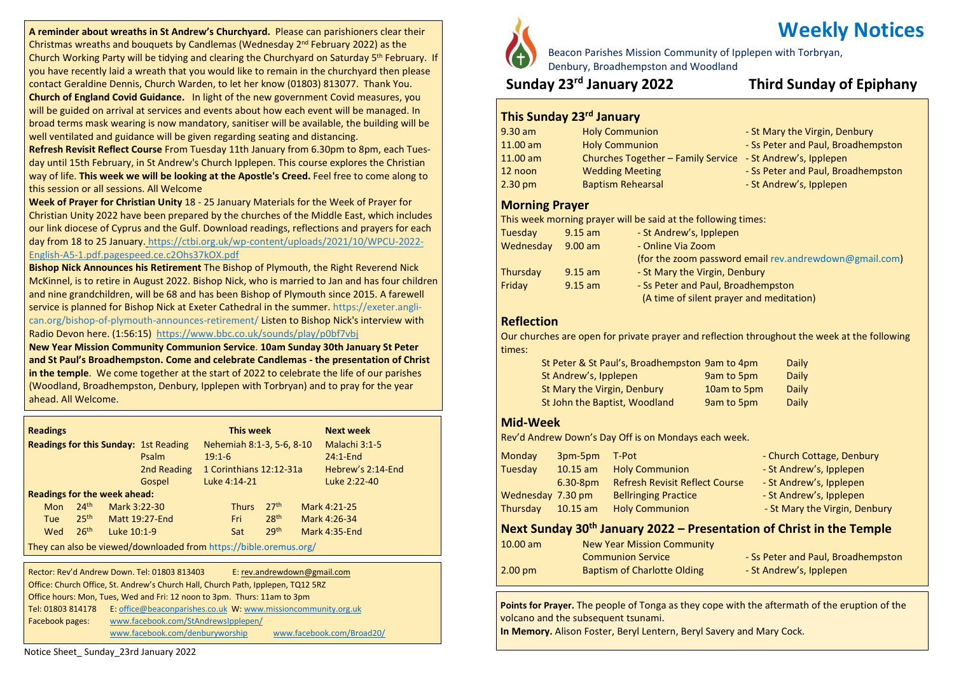**A reminder about wreaths in St Andrew's Churchyard.** Please can parishioners clear their Christmas wreaths and bouquets by Candlemas (Wednesday 2<sup>nd</sup> February 2022) as the Church Working Party will be tidying and clearing the Churchyard on Saturday 5<sup>th</sup> February. If you have recently laid a wreath that you would like to remain in the churchyard then please contact Geraldine Dennis, Church Warden, to let her know (01803) 813077. Thank You.

**Church of England Covid Guidance.** In light of the new government Covid measures, you will be guided on arrival at services and events about how each event will be managed. In broad terms mask wearing is now mandatory, sanitiser will be available, the building will be well ventilated and guidance will be given regarding seating and distancing.

**Refresh Revisit Reflect Course** From Tuesday 11th January from 6.30pm to 8pm, each Tuesday until 15th February, in St Andrew's Church Ipplepen. This course explores the Christian way of life. **This week we will be looking at the Apostle's Creed.** Feel free to come along to this session or all sessions. All Welcome

**Week of Prayer for Christian Unity** 18 - 25 January Materials for the Week of Prayer for Christian Unity 2022 have been prepared by the churches of the Middle East, which includes our link diocese of Cyprus and the Gulf. Download readings, reflections and prayers for each day from 18 to 25 January. [https://ctbi.org.uk/wp-content/uploads/2021/10/WPCU-2022-](https://ctbi.org.uk/wp-content/uploads/2021/10/WPCU-2022-English-A5-1.pdf.pagespeed.ce.c2Ohs37kOX.pdf) [English-A5-1.pdf.pagespeed.ce.c2Ohs37kOX.pdf](https://ctbi.org.uk/wp-content/uploads/2021/10/WPCU-2022-English-A5-1.pdf.pagespeed.ce.c2Ohs37kOX.pdf)

**Bishop Nick Announces his Retirement** The Bishop of Plymouth, the Right Reverend Nick McKinnel, is to retire in August 2022. Bishop Nick, who is married to Jan and has four children and nine grandchildren, will be 68 and has been Bishop of Plymouth since 2015. A farewell service is planned for Bishop Nick at Exeter Cathedral in the summer. [https://exeter.angli](https://exeter.anglican.org/bishop-of-plymouth-announces-retirement/)[can.org/bishop-of-plymouth-announces-retirement/](https://exeter.anglican.org/bishop-of-plymouth-announces-retirement/) Listen to Bishop Nick's interview with Radio Devon here. (1:56:15) <https://www.bbc.co.uk/sounds/play/p0bf7vbj>

**New Year Mission Community Communion Service**. **10am Sunday 30th January St Peter and St Paul's Broadhempston. Come and celebrate Candlemas - the presentation of Christ in the temple**. We come together at the start of 2022 to celebrate the life of our parishes (Woodland, Broadhempston, Denbury, Ipplepen with Torbryan) and to pray for the year ahead. All Welcome.

| <b>Readings</b>                                                   |                  |              |                                              |          | <b>This week</b> |                           |  | <b>Next week</b>  |
|-------------------------------------------------------------------|------------------|--------------|----------------------------------------------|----------|------------------|---------------------------|--|-------------------|
|                                                                   |                  |              | <b>Readings for this Sunday: 1st Reading</b> |          |                  | Nehemiah 8:1-3, 5-6, 8-10 |  | Malachi 3:1-5     |
|                                                                   |                  |              | Psalm                                        | $19:1-6$ |                  |                           |  | $24:1$ -End       |
|                                                                   |                  |              | 2nd Reading                                  |          |                  | 1 Corinthians 12:12-31a   |  | Hebrew's 2:14-End |
|                                                                   |                  |              | Gospel                                       |          | Luke 4:14-21     |                           |  | Luke 2:22-40      |
| <b>Readings for the week ahead:</b>                               |                  |              |                                              |          |                  |                           |  |                   |
| <b>Mon</b>                                                        | 24 <sup>th</sup> | Mark 3:22-30 |                                              |          | <b>Thurs</b>     | 27 <sup>th</sup>          |  | Mark 4:21-25      |
| <b>Tue</b>                                                        | 25 <sup>th</sup> |              | <b>Matt 19:27-End</b>                        |          | Fri              | 28 <sup>th</sup>          |  | Mark 4:26-34      |
| Wed                                                               | 26 <sup>th</sup> | Luke 10:1-9  |                                              |          | Sat              | 29th                      |  | Mark 4:35-End     |
| They can also be yiewed/downloaded from https://bible.oremus.org/ |                  |              |                                              |          |                  |                           |  |                   |

They can also be viewed/downloaded from <https://bible.oremus.org/>

Rector: Rev'd Andrew Down. Tel: 01803 813403 E: [rev.andrewdown@gmail.com](mailto:rev.andrewdown@gmail.com) Office: Church Office, St. Andrew's Church Hall, Church Path, Ipplepen, TQ12 5RZ Office hours: Mon, Tues, Wed and Fri: 12 noon to 3pm. Thurs: 11am to 3pm Tel: 01803 814178 E: [office@beaconparishes.co.uk](mailto:office@beaconparishes.co.uk) W: [www.missioncommunity.org.uk](http://www.missioncommunity.org.uk/) Facebook pages: [www.facebook.com/StAndrewsIpplepen/](http://www.facebook.com/StAndrewsIpplepen/) [www.facebook.com/denburyworship](http://www.facebook.com/denburyworship) [www.facebook.com/Broad20/](http://www.facebook.com/Broad20/)

# **Weekly Notices**

Beacon Parishes Mission Community of Ipplepen with Torbryan,

Denbury, Broadhempston and Woodland

# **Sunday 23rd January 2022 Third Sunday of Epiphany**

# **This Sunday 23rd January**

- 9.30 am Holy Communion St Mary the Virgin, Denbury 11.00 am Holy Communion - Ss Peter and Paul, Broadhempston 11.00 am Churches Together – Family Service - St Andrew's, Ipplepen 12 noon Wedding Meeting - Ss Peter and Paul, Broadhempston 2.30 pm Baptism Rehearsal **Example 2.30 pm** Baptism Rehearsal
	- -
		-

### **Morning Prayer**

This week morning prayer will be said at the following times:

| Tuesday   | $9.15$ am                      | - St Andrew's, Ipplepen                                |
|-----------|--------------------------------|--------------------------------------------------------|
| Wednesday | - Online Via Zoom<br>$9.00$ am |                                                        |
|           |                                | (for the zoom password email rev.andrewdown@gmail.com) |
| Thursday  | $9.15$ am                      | - St Mary the Virgin, Denbury                          |
| Friday    | $9.15$ am                      | - Ss Peter and Paul, Broadhempston                     |
|           |                                | (A time of silent prayer and meditation)               |

### **Reflection**

Our churches are open for private prayer and reflection throughout the week at the following times:

| St Peter & St Paul's, Broadhempston 9am to 4pm |             | Daily |
|------------------------------------------------|-------------|-------|
| St Andrew's, Ipplepen                          | 9am to 5pm  | Daily |
| St Mary the Virgin, Denbury                    | 10am to 5pm | Daily |
| St John the Baptist, Woodland                  | 9am to 5pm  | Daily |

### **Mid-Week**

Rev'd Andrew Down's Day Off is on Mondays each week.

| Monday            | 3pm-5pm    | T-Pot                                 | - Church Cottage, Denbury     |
|-------------------|------------|---------------------------------------|-------------------------------|
| Tuesday           | $10.15$ am | <b>Holy Communion</b>                 | - St Andrew's, Ipplepen       |
|                   | $6.30-8pm$ | <b>Refresh Revisit Reflect Course</b> | - St Andrew's, Ipplepen       |
| Wednesday 7.30 pm |            | <b>Bellringing Practice</b>           | - St Andrew's, Ipplepen       |
| Thursday          | $10.15$ am | <b>Holy Communion</b>                 | - St Mary the Virgin, Denbury |

# **Next Sunday 30th January 2022 – Presentation of Christ in the Temple**

| $10.00$ am        | <b>New Year Mission Community</b>  |                                    |
|-------------------|------------------------------------|------------------------------------|
|                   | <b>Communion Service</b>           | - Ss Peter and Paul, Broadhempston |
| $2.00 \text{ pm}$ | <b>Baptism of Charlotte Olding</b> | - St Andrew's, Ipplepen            |

**Points for Prayer.** The people of Tonga as they cope with the aftermath of the eruption of the volcano and the subsequent tsunami.

**In Memory.** Alison Foster, Beryl Lentern, Beryl Savery and Mary Cock.